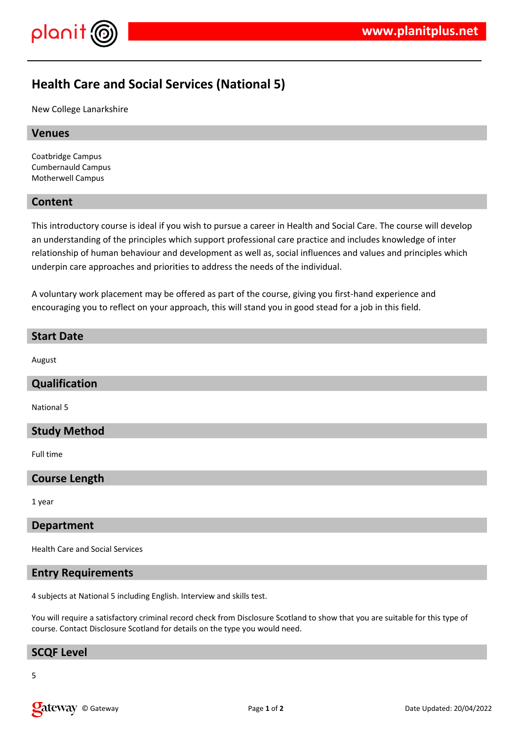

# **Health Care and Social Services (National 5)**

New College Lanarkshire

## **Venues**

Coatbridge Campus Cumbernauld Campus Motherwell Campus

# **Content**

This introductory course is ideal if you wish to pursue a career in Health and Social Care. The course will develop an understanding of the principles which support professional care practice and includes knowledge of inter relationship of human behaviour and development as well as, social influences and values and principles which underpin care approaches and priorities to address the needs of the individual.

A voluntary work placement may be offered as part of the course, giving you first-hand experience and encouraging you to reflect on your approach, this will stand you in good stead for a job in this field.

#### **Start Date**

August

# **Qualification**

National 5

#### **Study Method**

Full time

# **Course Length**

1 year

# **Department**

Health Care and Social Services

#### **Entry Requirements**

4 subjects at National 5 including English. Interview and skills test.

You will require a satisfactory criminal record check from Disclosure Scotland to show that you are suitable for this type of course. Contact Disclosure Scotland for details on the type you would need.

# **SCQF Level**